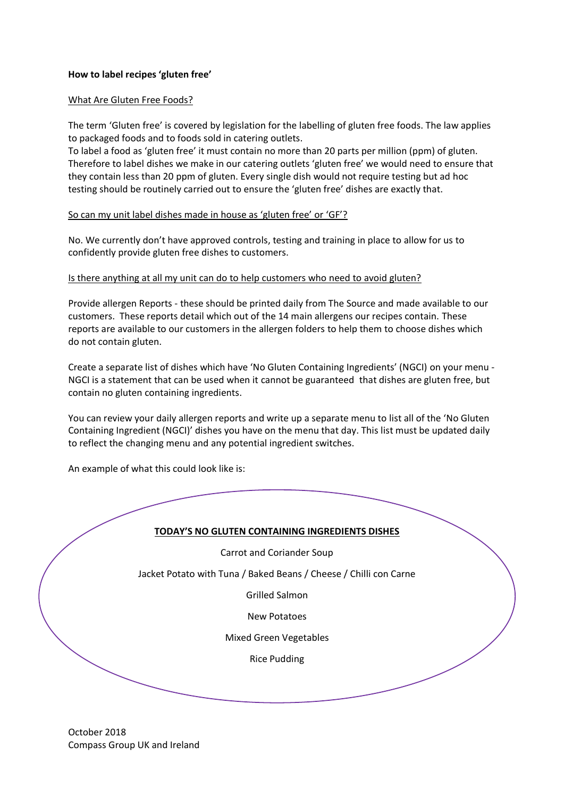## **How to label recipes 'gluten free'**

### What Are Gluten Free Foods?

The term 'Gluten free' is covered by legislation for the labelling of gluten free foods. The law applies to packaged foods and to foods sold in catering outlets.

To label a food as 'gluten free' it must contain no more than 20 parts per million (ppm) of gluten. Therefore to label dishes we make in our catering outlets 'gluten free' we would need to ensure that they contain less than 20 ppm of gluten. Every single dish would not require testing but ad hoc testing should be routinely carried out to ensure the 'gluten free' dishes are exactly that.

#### So can my unit label dishes made in house as 'gluten free' or 'GF'?

No. We currently don't have approved controls, testing and training in place to allow for us to confidently provide gluten free dishes to customers.

#### Is there anything at all my unit can do to help customers who need to avoid gluten?

Provide allergen Reports - these should be printed daily from The Source and made available to our customers. These reports detail which out of the 14 main allergens our recipes contain. These reports are available to our customers in the allergen folders to help them to choose dishes which do not contain gluten.

Create a separate list of dishes which have 'No Gluten Containing Ingredients' (NGCI) on your menu - NGCI is a statement that can be used when it cannot be guaranteed that dishes are gluten free, but contain no gluten containing ingredients.

You can review your daily allergen reports and write up a separate menu to list all of the 'No Gluten Containing Ingredient (NGCI)' dishes you have on the menu that day. This list must be updated daily to reflect the changing menu and any potential ingredient switches.

An example of what this could look like is:

### **TODAY'S NO GLUTEN CONTAINING INGREDIENTS DISHES**

Carrot and Coriander Soup

Jacket Potato with Tuna / Baked Beans / Cheese / Chilli con Carne

Grilled Salmon

New Potatoes

Mixed Green Vegetables

Rice Pudding

October 2018 Compass Group UK and Ireland